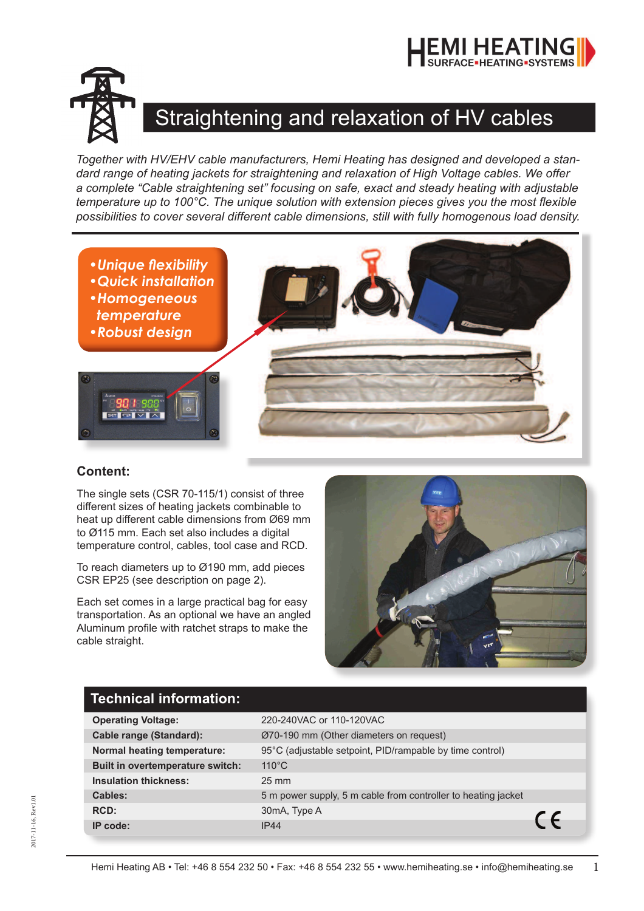



## Straightening and relaxation of HV cables

*Together with HV/EHV cable manufacturers, Hemi Heating has designed and developed a standard range of heating jackets for straightening and relaxation of High Voltage cables. We offer a complete "Cable straightening set" focusing on safe, exact and steady heating with adjustable temperature up to 100°C. The unique solution with extension pieces gives you the most flexible possibilities to cover several different cable dimensions, still with fully homogenous load density.*



## **Content:**

The single sets (CSR 70-115/1) consist of three different sizes of heating jackets combinable to heat up different cable dimensions from Ø69 mm to Ø115 mm. Each set also includes a digital temperature control, cables, tool case and RCD.

To reach diameters up to Ø190 mm, add pieces CSR EP25 (see description on page 2).

Each set comes in a large practical bag for easy transportation. As an optional we have an angled Aluminum profile with ratchet straps to make the cable straight.



## **Technical information:**

| <b>Operating Voltage:</b>        | 220-240VAC or 110-120VAC                                                    |            |  |
|----------------------------------|-----------------------------------------------------------------------------|------------|--|
| <b>Cable range (Standard):</b>   | Ø70-190 mm (Other diameters on request)                                     |            |  |
| Normal heating temperature:      | 95°C (adjustable setpoint, PID/rampable by time control)<br>$110^{\circ}$ C |            |  |
| Built in overtemperature switch: |                                                                             |            |  |
| <b>Insulation thickness:</b>     | $25 \text{ mm}$                                                             |            |  |
| Cables:                          | 5 m power supply, 5 m cable from controller to heating jacket               |            |  |
| RCD:                             | 30mA, Type A                                                                |            |  |
| IP code:                         | IP44                                                                        | $\epsilon$ |  |